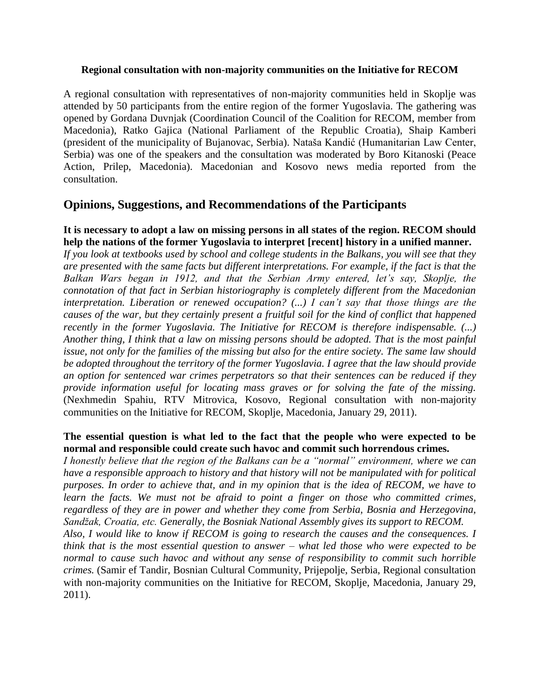### **Regional consultation with non-majority communities on the Initiative for RECOM**

A regional consultation with representatives of non-majority communities held in Skoplje was attended by 50 participants from the entire region of the former Yugoslavia. The gathering was opened by Gordana Duvnjak (Coordination Council of the Coalition for RECOM, member from Macedonia), Ratko Gajica (National Parliament of the Republic Croatia), Shaip Kamberi (president of the municipality of Bujanovac, Serbia). Nataša Kandić (Humanitarian Law Center, Serbia) was one of the speakers and the consultation was moderated by Boro Kitanoski (Peace Action, Prilep, Macedonia). Macedonian and Kosovo news media reported from the consultation.

# **Opinions, Suggestions, and Recommendations of the Participants**

### **It is necessary to adopt a law on missing persons in all states of the region. RECOM should help the nations of the former Yugoslavia to interpret [recent] history in a unified manner.**

*If you look at textbooks used by school and college students in the Balkans, you will see that they are presented with the same facts but different interpretations. For example, if the fact is that the Balkan Wars began in 1912, and that the Serbian Army entered, let's say, Skoplje, the connotation of that fact in Serbian historiography is completely different from the Macedonian interpretation. Liberation or renewed occupation? (...) I can't say that those things are the causes of the war, but they certainly present a fruitful soil for the kind of conflict that happened recently in the former Yugoslavia. The Initiative for RECOM is therefore indispensable. (...) Another thing, I think that a law on missing persons should be adopted. That is the most painful issue, not only for the families of the missing but also for the entire society. The same law should be adopted throughout the territory of the former Yugoslavia. I agree that the law should provide an option for sentenced war crimes perpetrators so that their sentences can be reduced if they provide information useful for locating mass graves or for solving the fate of the missing.* (Nexhmedin Spahiu, RTV Mitrovica, Kosovo, Regional consultation with non-majority communities on the Initiative for RECOM, Skoplje, Macedonia, January 29, 2011).

# **The essential question is what led to the fact that the people who were expected to be normal and responsible could create such havoc and commit such horrendous crimes.**

*I honestly believe that the region of the Balkans can be a "normal" environment, where we can have a responsible approach to history and that history will not be manipulated with for political purposes. In order to achieve that, and in my opinion that is the idea of RECOM, we have to*  learn the facts. We must not be afraid to point a finger on those who committed crimes, *regardless of they are in power and whether they come from Serbia, Bosnia and Herzegovina, Sandžak, Croatia, etc. Generally, the Bosniak National Assembly gives its support to RECOM.*

*Also, I would like to know if RECOM is going to research the causes and the consequences. I think that is the most essential question to answer – what led those who were expected to be normal to cause such havoc and without any sense of responsibility to commit such horrible crimes.* (Samir ef Tandir, Bosnian Cultural Community, Prijepolje, Serbia, Regional consultation with non-majority communities on the Initiative for RECOM, Skoplje, Macedonia, January 29, 2011).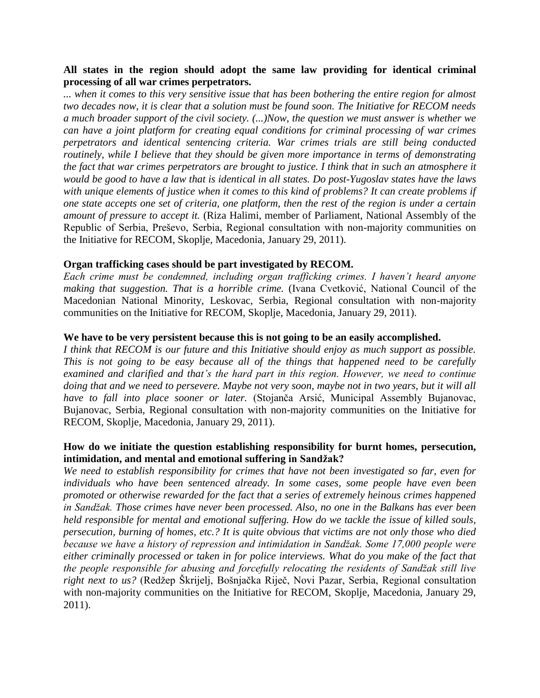# **All states in the region should adopt the same law providing for identical criminal processing of all war crimes perpetrators.**

*... when it comes to this very sensitive issue that has been bothering the entire region for almost two decades now, it is clear that a solution must be found soon. The Initiative for RECOM needs a much broader support of the civil society. (...)Now, the question we must answer is whether we can have a joint platform for creating equal conditions for criminal processing of war crimes perpetrators and identical sentencing criteria. War crimes trials are still being conducted routinely, while I believe that they should be given more importance in terms of demonstrating the fact that war crimes perpetrators are brought to justice. I think that in such an atmosphere it would be good to have a law that is identical in all states. Do post-Yugoslav states have the laws with unique elements of justice when it comes to this kind of problems? It can create problems if one state accepts one set of criteria, one platform, then the rest of the region is under a certain amount of pressure to accept it.* (Riza Halimi, member of Parliament, National Assembly of the Republic of Serbia, Preševo, Serbia, Regional consultation with non-majority communities on the Initiative for RECOM, Skoplje, Macedonia, January 29, 2011).

# **Organ trafficking cases should be part investigated by RECOM.**

*Each crime must be condemned, including organ trafficking crimes. I haven't heard anyone making that suggestion. That is a horrible crime.* (Ivana Cvetković, National Council of the Macedonian National Minority, Leskovac, Serbia, Regional consultation with non-majority communities on the Initiative for RECOM, Skoplje, Macedonia, January 29, 2011).

# **We have to be very persistent because this is not going to be an easily accomplished.**

*I think that RECOM is our future and this Initiative should enjoy as much support as possible. This is not going to be easy because all of the things that happened need to be carefully examined and clarified and that's the hard part in this region. However, we need to continue doing that and we need to persevere. Maybe not very soon, maybe not in two years, but it will all have to fall into place sooner or later.* (Stojanča Arsić, Municipal Assembly Bujanovac, Bujanovac, Serbia, Regional consultation with non-majority communities on the Initiative for RECOM, Skoplje, Macedonia, January 29, 2011).

# **How do we initiate the question establishing responsibility for burnt homes, persecution, intimidation, and mental and emotional suffering in Sandžak?**

*We need to establish responsibility for crimes that have not been investigated so far, even for individuals who have been sentenced already. In some cases, some people have even been promoted or otherwise rewarded for the fact that a series of extremely heinous crimes happened in Sandžak. Those crimes have never been processed. Also, no one in the Balkans has ever been held responsible for mental and emotional suffering. How do we tackle the issue of killed souls, persecution, burning of homes, etc.? It is quite obvious that victims are not only those who died because we have a history of repression and intimidation in Sandžak. Some 17,000 people were either criminally processed or taken in for police interviews. What do you make of the fact that the people responsible for abusing and forcefully relocating the residents of Sandžak still live*  right next to us? (Redžep Škrijelj, Bošnjačka Riječ, Novi Pazar, Serbia, Regional consultation with non-majority communities on the Initiative for RECOM, Skoplje, Macedonia, January 29, 2011).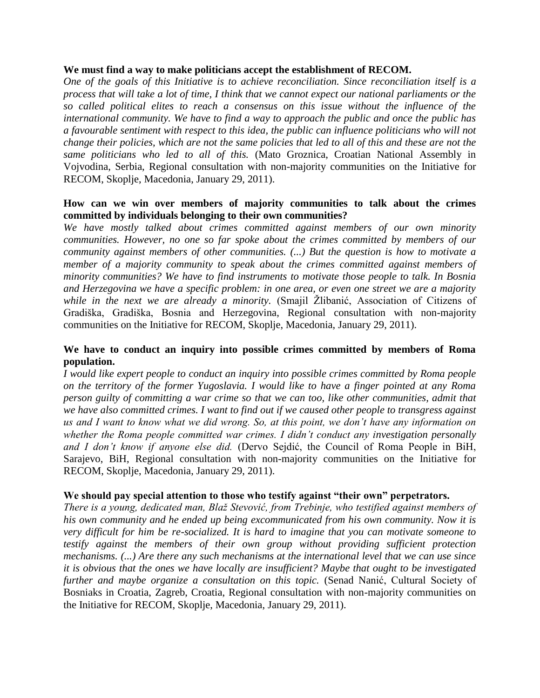#### **We must find a way to make politicians accept the establishment of RECOM.**

*One of the goals of this Initiative is to achieve reconciliation. Since reconciliation itself is a process that will take a lot of time, I think that we cannot expect our national parliaments or the so called political elites to reach a consensus on this issue without the influence of the international community. We have to find a way to approach the public and once the public has a favourable sentiment with respect to this idea, the public can influence politicians who will not change their policies, which are not the same policies that led to all of this and these are not the same politicians who led to all of this.* (Mato Groznica, Croatian National Assembly in Vojvodina, Serbia, Regional consultation with non-majority communities on the Initiative for RECOM, Skoplje, Macedonia, January 29, 2011).

# **How can we win over members of majority communities to talk about the crimes committed by individuals belonging to their own communities?**

*We have mostly talked about crimes committed against members of our own minority communities. However, no one so far spoke about the crimes committed by members of our community against members of other communities. (...) But the question is how to motivate a member of a majority community to speak about the crimes committed against members of minority communities? We have to find instruments to motivate those people to talk. In Bosnia and Herzegovina we have a specific problem: in one area, or even one street we are a majority while in the next we are already a minority.* (Smajil Žlibanić, Association of Citizens of Gradiška, Gradiška, Bosnia and Herzegovina, Regional consultation with non-majority communities on the Initiative for RECOM, Skoplje, Macedonia, January 29, 2011).

# **We have to conduct an inquiry into possible crimes committed by members of Roma population.**

*I would like expert people to conduct an inquiry into possible crimes committed by Roma people on the territory of the former Yugoslavia. I would like to have a finger pointed at any Roma person guilty of committing a war crime so that we can too, like other communities, admit that we have also committed crimes. I want to find out if we caused other people to transgress against us and I want to know what we did wrong. So, at this point, we don't have any information on whether the Roma people committed war crimes. I didn't conduct any investigation personally and I don't know if anyone else did.* (Dervo Sejdić, the Council of Roma People in BiH, Sarajevo, BiH, Regional consultation with non-majority communities on the Initiative for RECOM, Skoplje, Macedonia, January 29, 2011).

# **We should pay special attention to those who testify against "their own" perpetrators.**

*There is a young, dedicated man, Blaž Stevović, from Trebinje, who testified against members of his own community and he ended up being excommunicated from his own community. Now it is very difficult for him be re-socialized. It is hard to imagine that you can motivate someone to testify against the members of their own group without providing sufficient protection mechanisms. (...) Are there any such mechanisms at the international level that we can use since it is obvious that the ones we have locally are insufficient? Maybe that ought to be investigated further and maybe organize a consultation on this topic.* (Senad Nanić, Cultural Society of Bosniaks in Croatia, Zagreb, Croatia, Regional consultation with non-majority communities on the Initiative for RECOM, Skoplje, Macedonia, January 29, 2011).